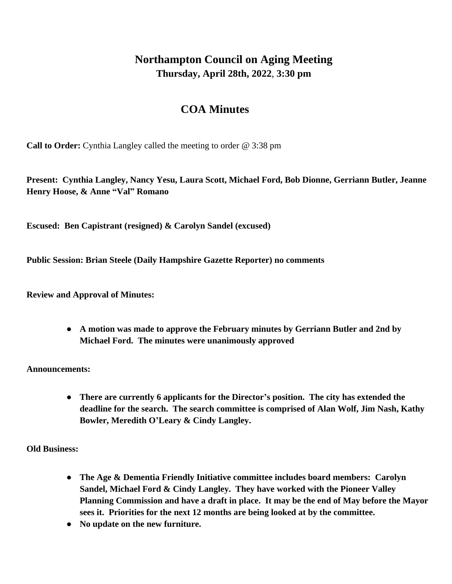## **Northampton Council on Aging Meeting Thursday, April 28th, 2022**, **3:30 pm**

## **COA Minutes**

**Call to Order:** Cynthia Langley called the meeting to order @ 3:38 pm

**Present: Cynthia Langley, Nancy Yesu, Laura Scott, Michael Ford, Bob Dionne, Gerriann Butler, Jeanne Henry Hoose, & Anne "Val" Romano**

**Escused: Ben Capistrant (resigned) & Carolyn Sandel (excused)**

**Public Session: Brian Steele (Daily Hampshire Gazette Reporter) no comments**

**Review and Approval of Minutes:**

**● A motion was made to approve the February minutes by Gerriann Butler and 2nd by Michael Ford. The minutes were unanimously approved**

**Announcements:**

**● There are currently 6 applicants for the Director's position. The city has extended the deadline for the search. The search committee is comprised of Alan Wolf, Jim Nash, Kathy Bowler, Meredith O'Leary & Cindy Langley.**

**Old Business:**

- **● The Age & Dementia Friendly Initiative committee includes board members: Carolyn Sandel, Michael Ford & Cindy Langley. They have worked with the Pioneer Valley Planning Commission and have a draft in place. It may be the end of May before the Mayor sees it. Priorities for the next 12 months are being looked at by the committee.**
- **● No update on the new furniture.**